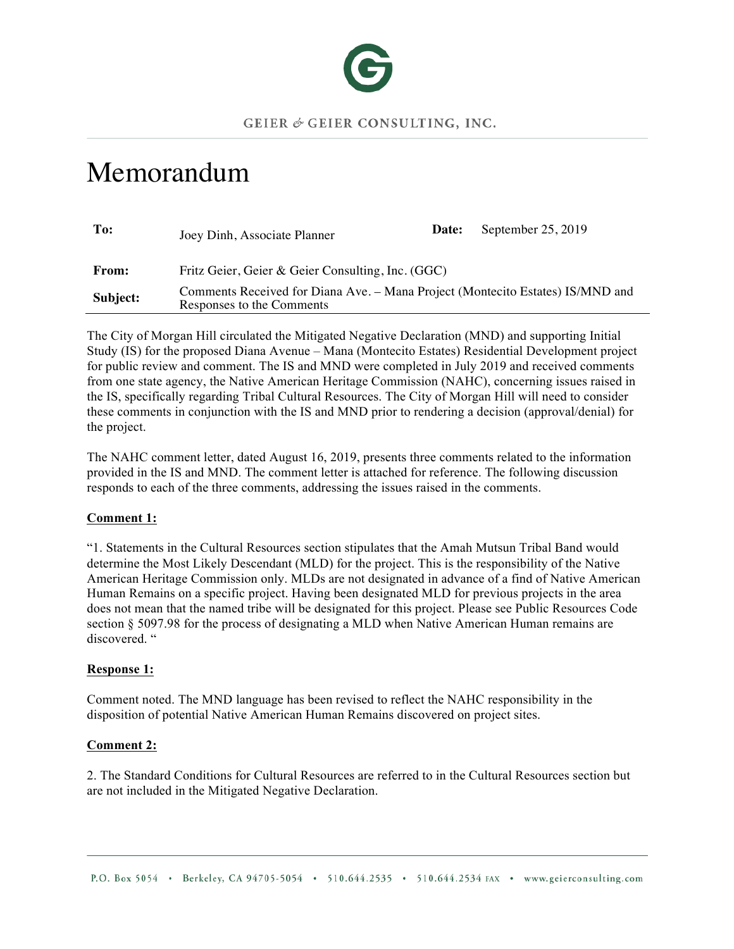

# Memorandum

| To:          | Joey Dinh, Associate Planner                                                                                | Date: | September 25, 2019 |
|--------------|-------------------------------------------------------------------------------------------------------------|-------|--------------------|
| <b>From:</b> | Fritz Geier, Geier & Geier Consulting, Inc. (GGC)                                                           |       |                    |
| Subject:     | Comments Received for Diana Ave. – Mana Project (Montecito Estates) IS/MND and<br>Responses to the Comments |       |                    |

The City of Morgan Hill circulated the Mitigated Negative Declaration (MND) and supporting Initial Study (IS) for the proposed Diana Avenue – Mana (Montecito Estates) Residential Development project for public review and comment. The IS and MND were completed in July 2019 and received comments from one state agency, the Native American Heritage Commission (NAHC), concerning issues raised in the IS, specifically regarding Tribal Cultural Resources. The City of Morgan Hill will need to consider these comments in conjunction with the IS and MND prior to rendering a decision (approval/denial) for the project.

The NAHC comment letter, dated August 16, 2019, presents three comments related to the information provided in the IS and MND. The comment letter is attached for reference. The following discussion responds to each of the three comments, addressing the issues raised in the comments.

# **Comment 1:**

"1. Statements in the Cultural Resources section stipulates that the Amah Mutsun Tribal Band would determine the Most Likely Descendant (MLD) for the project. This is the responsibility of the Native American Heritage Commission only. MLDs are not designated in advance of a find of Native American Human Remains on a specific project. Having been designated MLD for previous projects in the area does not mean that the named tribe will be designated for this project. Please see Public Resources Code section § 5097.98 for the process of designating a MLD when Native American Human remains are discovered. "

## **Response 1:**

Comment noted. The MND language has been revised to reflect the NAHC responsibility in the disposition of potential Native American Human Remains discovered on project sites.

## **Comment 2:**

2. The Standard Conditions for Cultural Resources are referred to in the Cultural Resources section but are not included in the Mitigated Negative Declaration.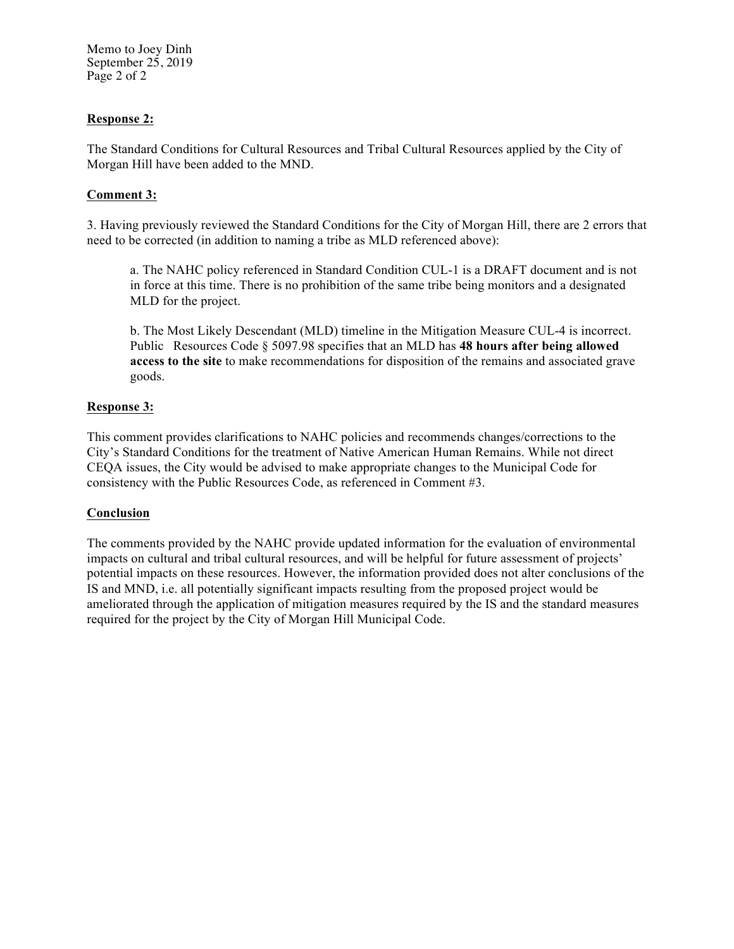Memo to Joey Dinh September 25, 2019 Page 2 of 2

## **Response 2:**

The Standard Conditions for Cultural Resources and Tribal Cultural Resources applied by the City of Morgan Hill have been added to the MND.

## **Comment 3:**

3. Having previously reviewed the Standard Conditions for the City of Morgan Hill, there are 2 errors that need to be corrected (in addition to naming a tribe as MLD referenced above):

a. The NAHC policy referenced in Standard Condition CUL-1 is a DRAFT document and is not in force at this time. There is no prohibition of the same tribe being monitors and a designated MLD for the project.

b. The Most Likely Descendant (MLD) timeline in the Mitigation Measure CUL-4 is incorrect. Public Resources Code § 5097.98 specifies that an MLD has **48 hours after being allowed access to the site** to make recommendations for disposition of the remains and associated grave goods.

## **Response 3:**

This comment provides clarifications to NAHC policies and recommends changes/corrections to the City's Standard Conditions for the treatment of Native American Human Remains. While not direct CEQA issues, the City would be advised to make appropriate changes to the Municipal Code for consistency with the Public Resources Code, as referenced in Comment #3.

## **Conclusion**

The comments provided by the NAHC provide updated information for the evaluation of environmental impacts on cultural and tribal cultural resources, and will be helpful for future assessment of projects' potential impacts on these resources. However, the information provided does not alter conclusions of the IS and MND, i.e. all potentially significant impacts resulting from the proposed project would be ameliorated through the application of mitigation measures required by the IS and the standard measures required for the project by the City of Morgan Hill Municipal Code.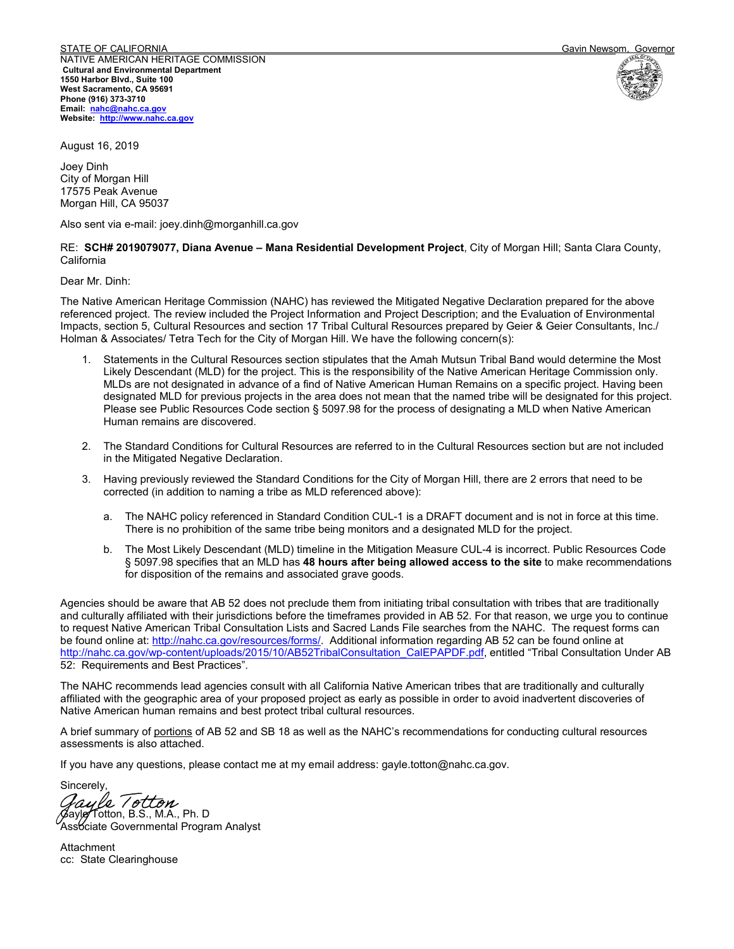STATE OF CALIFORNIA GALITORIA CONTROLLED CONTROL CONTROL CONTROL CONTROL CONTROLLED Gavin Newsom, Governor NATIVE AMERICAN HERITAGE COMMISSION **Cultural and Environmental Department 1550 Harbor Blvd., Suite 100 West Sacramento, CA 95691 Phone (916) 373-3710 Email: nahc@nahc.ca.gov Website: http://www.nahc.ca.gov**





August 16, 2019

Joey Dinh City of Morgan Hill 17575 Peak Avenue Morgan Hill, CA 95037

Also sent via e-mail: joey.dinh@morganhill.ca.gov

RE: **SCH# 2019079077, Diana Avenue – Mana Residential Development Project**, City of Morgan Hill; Santa Clara County, California

Dear Mr. Dinh:

The Native American Heritage Commission (NAHC) has reviewed the Mitigated Negative Declaration prepared for the above referenced project. The review included the Project Information and Project Description; and the Evaluation of Environmental Impacts, section 5, Cultural Resources and section 17 Tribal Cultural Resources prepared by Geier & Geier Consultants, Inc./ Holman & Associates/ Tetra Tech for the City of Morgan Hill. We have the following concern(s):

- 1. Statements in the Cultural Resources section stipulates that the Amah Mutsun Tribal Band would determine the Most Likely Descendant (MLD) for the project. This is the responsibility of the Native American Heritage Commission only. MLDs are not designated in advance of a find of Native American Human Remains on a specific project. Having been designated MLD for previous projects in the area does not mean that the named tribe will be designated for this project. Please see Public Resources Code section § 5097.98 for the process of designating a MLD when Native American Human remains are discovered.
- 2. The Standard Conditions for Cultural Resources are referred to in the Cultural Resources section but are not included in the Mitigated Negative Declaration.
- 3. Having previously reviewed the Standard Conditions for the City of Morgan Hill, there are 2 errors that need to be corrected (in addition to naming a tribe as MLD referenced above):
	- a. The NAHC policy referenced in Standard Condition CUL-1 is a DRAFT document and is not in force at this time. There is no prohibition of the same tribe being monitors and a designated MLD for the project.
	- b. The Most Likely Descendant (MLD) timeline in the Mitigation Measure CUL-4 is incorrect. Public Resources Code § 5097.98 specifies that an MLD has **48 hours after being allowed access to the site** to make recommendations for disposition of the remains and associated grave goods.

Agencies should be aware that AB 52 does not preclude them from initiating tribal consultation with tribes that are traditionally and culturally affiliated with their jurisdictions before the timeframes provided in AB 52. For that reason, we urge you to continue to request Native American Tribal Consultation Lists and Sacred Lands File searches from the NAHC. The request forms can be found online at: http://nahc.ca.gov/resources/forms/. Additional information regarding AB 52 can be found online at http://nahc.ca.gov/wp-content/uploads/2015/10/AB52TribalConsultation\_CalEPAPDF.pdf, entitled "Tribal Consultation Under AB 52: Requirements and Best Practices".

The NAHC recommends lead agencies consult with all California Native American tribes that are traditionally and culturally affiliated with the geographic area of your proposed project as early as possible in order to avoid inadvertent discoveries of Native American human remains and best protect tribal cultural resources.

A brief summary of portions of AB 52 and SB 18 as well as the NAHC's recommendations for conducting cultural resources assessments is also attached.

If you have any questions, please contact me at my email address: gayle.totton@nahc.ca.gov.

Sincerely,

Gayle Totton, B.S., M.A., Ph. D a*yle Totton*<br>ylg Totton, B.S., M.A., Ph. D

Assbciate Governmental Program Analyst

Attachment cc: State Clearinghouse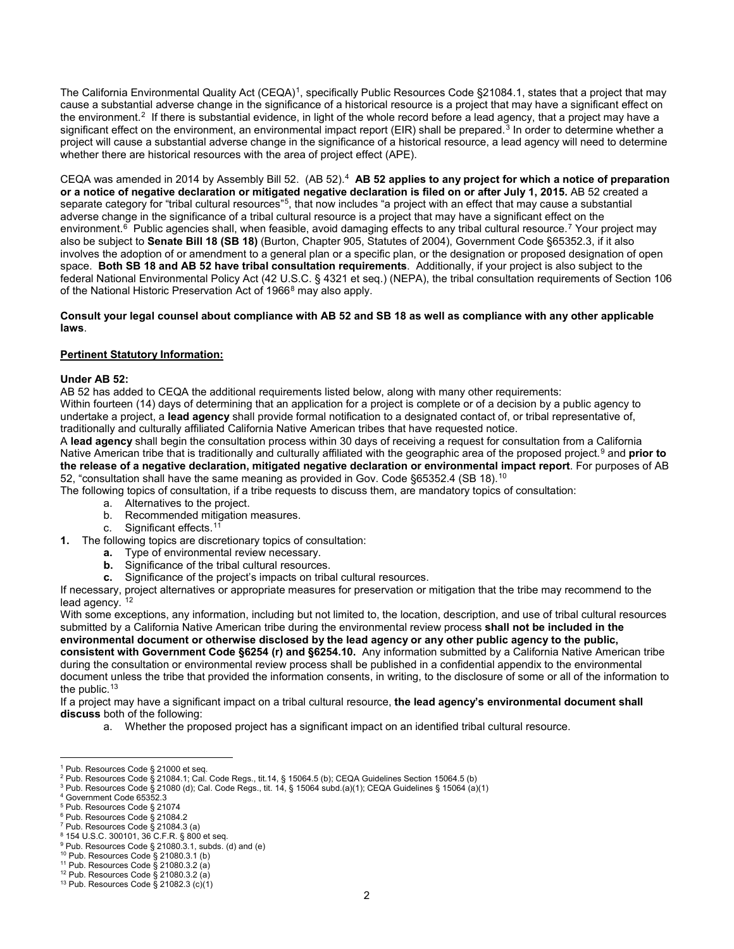The California Environmental Quality Act (CEQA)<sup>1</sup>, specifically Public Resources Code §21084.1, states that a project that may cause a substantial adverse change in the significance of a historical resource is a project that may have a significant effect on the environment.2 If there is substantial evidence, in light of the whole record before a lead agency, that a project may have a significant effect on the environment, an environmental impact report (EIR) shall be prepared.<sup>3</sup> In order to determine whether a project will cause a substantial adverse change in the significance of a historical resource, a lead agency will need to determine whether there are historical resources with the area of project effect (APE).

CEQA was amended in 2014 by Assembly Bill 52. (AB 52).4 **AB 52 applies to any project for which a notice of preparation or a notice of negative declaration or mitigated negative declaration is filed on or after July 1, 2015.** AB 52 created a separate category for "tribal cultural resources"<sup>5</sup>, that now includes "a project with an effect that may cause a substantial adverse change in the significance of a tribal cultural resource is a project that may have a significant effect on the environment.<sup>6</sup> Public agencies shall, when feasible, avoid damaging effects to any tribal cultural resource.<sup>7</sup> Your project may also be subject to **Senate Bill 18 (SB 18)** (Burton, Chapter 905, Statutes of 2004), Government Code §65352.3, if it also involves the adoption of or amendment to a general plan or a specific plan, or the designation or proposed designation of open space. **Both SB 18 and AB 52 have tribal consultation requirements**. Additionally, if your project is also subject to the federal National Environmental Policy Act (42 U.S.C. § 4321 et seq.) (NEPA), the tribal consultation requirements of Section 106 of the National Historic Preservation Act of 1966<sup>8</sup> may also apply.

#### **Consult your legal counsel about compliance with AB 52 and SB 18 as well as compliance with any other applicable laws**.

#### **Pertinent Statutory Information:**

#### **Under AB 52:**

AB 52 has added to CEQA the additional requirements listed below, along with many other requirements:

Within fourteen (14) days of determining that an application for a project is complete or of a decision by a public agency to undertake a project, a **lead agency** shall provide formal notification to a designated contact of, or tribal representative of, traditionally and culturally affiliated California Native American tribes that have requested notice.

A **lead agency** shall begin the consultation process within 30 days of receiving a request for consultation from a California Native American tribe that is traditionally and culturally affiliated with the geographic area of the proposed project.9 and **prior to the release of a negative declaration, mitigated negative declaration or environmental impact report**. For purposes of AB 52, "consultation shall have the same meaning as provided in Gov. Code §65352.4 (SB 18).<sup>10</sup>

The following topics of consultation, if a tribe requests to discuss them, are mandatory topics of consultation:

- a. Alternatives to the project.
- b. Recommended mitigation measures.
- c. Significant effects.<sup>11</sup>
- **1.** The following topics are discretionary topics of consultation:
	- **a.** Type of environmental review necessary.
	- **b.** Significance of the tribal cultural resources.
	- **c.** Significance of the project's impacts on tribal cultural resources.

If necessary, project alternatives or appropriate measures for preservation or mitigation that the tribe may recommend to the lead agency.  $12$ 

With some exceptions, any information, including but not limited to, the location, description, and use of tribal cultural resources submitted by a California Native American tribe during the environmental review process **shall not be included in the environmental document or otherwise disclosed by the lead agency or any other public agency to the public, consistent with Government Code §6254 (r) and §6254.10.** Any information submitted by a California Native American tribe during the consultation or environmental review process shall be published in a confidential appendix to the environmental document unless the tribe that provided the information consents, in writing, to the disclosure of some or all of the information to the public.<sup>13</sup>

If a project may have a significant impact on a tribal cultural resource, **the lead agency's environmental document shall discuss** both of the following:

a. Whether the proposed project has a significant impact on an identified tribal cultural resource.

 $\overline{a}$ <sup>1</sup> Pub. Resources Code § 21000 et seq.

 $^2$  Pub. Resources Code § 21084.1; Cal. Code Regs., tit.14, § 15064.5 (b); CEQA Guidelines Section 15064.5 (b)

<sup>&</sup>lt;sup>3</sup> Pub. Resources Code § 21080 (d); Cal. Code Regs., tit. 14, § 15064 subd.(a)(1); CEQA Guidelines § 15064 (a)(1)<br><sup>4</sup> Government Code 65352.3

<sup>&</sup>lt;sup>5</sup> Pub. Resources Code § 21074

<sup>&</sup>lt;sup>6</sup> Pub. Resources Code § 21084.2  $7$  Pub. Resources Code § 21084.3 (a)

<sup>8</sup> 154 U.S.C. 300101, 36 C.F.R. § 800 et seq.

<sup>9</sup> Pub. Resources Code § 21080.3.1, subds. (d) and (e)

<sup>10</sup> Pub. Resources Code § 21080.3.1 (b)<br>11 Pub. Resources Code § 21080.3.2 (a)

 $12$  Pub. Resources Code § 21080.3.2 (a)

<sup>13</sup> Pub. Resources Code § 21082.3 (c)(1)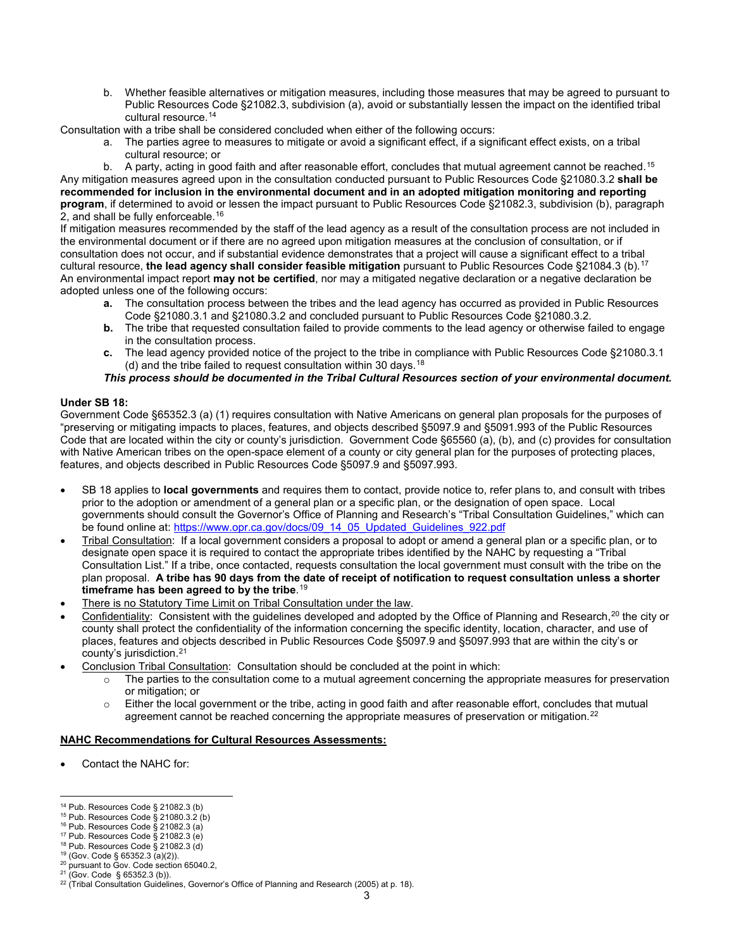b. Whether feasible alternatives or mitigation measures, including those measures that may be agreed to pursuant to Public Resources Code §21082.3, subdivision (a), avoid or substantially lessen the impact on the identified tribal cultural resource.14

Consultation with a tribe shall be considered concluded when either of the following occurs:

a. The parties agree to measures to mitigate or avoid a significant effect, if a significant effect exists, on a tribal cultural resource; or

b. A party, acting in good faith and after reasonable effort, concludes that mutual agreement cannot be reached.<sup>15</sup> Any mitigation measures agreed upon in the consultation conducted pursuant to Public Resources Code §21080.3.2 **shall be recommended for inclusion in the environmental document and in an adopted mitigation monitoring and reporting program**, if determined to avoid or lessen the impact pursuant to Public Resources Code §21082.3, subdivision (b), paragraph 2, and shall be fully enforceable.<sup>16</sup>

If mitigation measures recommended by the staff of the lead agency as a result of the consultation process are not included in the environmental document or if there are no agreed upon mitigation measures at the conclusion of consultation, or if consultation does not occur, and if substantial evidence demonstrates that a project will cause a significant effect to a tribal cultural resource, **the lead agency shall consider feasible mitigation** pursuant to Public Resources Code §21084.3 (b).17 An environmental impact report **may not be certified**, nor may a mitigated negative declaration or a negative declaration be adopted unless one of the following occurs:

- **a.** The consultation process between the tribes and the lead agency has occurred as provided in Public Resources Code §21080.3.1 and §21080.3.2 and concluded pursuant to Public Resources Code §21080.3.2.
- **b.** The tribe that requested consultation failed to provide comments to the lead agency or otherwise failed to engage in the consultation process.
- **c.** The lead agency provided notice of the project to the tribe in compliance with Public Resources Code §21080.3.1 (d) and the tribe failed to request consultation within 30 days.18

*This process should be documented in the Tribal Cultural Resources section of your environmental document.*

### **Under SB 18:**

Government Code §65352.3 (a) (1) requires consultation with Native Americans on general plan proposals for the purposes of "preserving or mitigating impacts to places, features, and objects described §5097.9 and §5091.993 of the Public Resources Code that are located within the city or county's jurisdiction. Government Code §65560 (a), (b), and (c) provides for consultation with Native American tribes on the open-space element of a county or city general plan for the purposes of protecting places, features, and objects described in Public Resources Code §5097.9 and §5097.993.

- SB 18 applies to **local governments** and requires them to contact, provide notice to, refer plans to, and consult with tribes prior to the adoption or amendment of a general plan or a specific plan, or the designation of open space. Local governments should consult the Governor's Office of Planning and Research's "Tribal Consultation Guidelines," which can be found online at: https://www.opr.ca.gov/docs/09\_14\_05\_Updated\_Guidelines\_922.pdf
- Tribal Consultation: If a local government considers a proposal to adopt or amend a general plan or a specific plan, or to designate open space it is required to contact the appropriate tribes identified by the NAHC by requesting a "Tribal Consultation List." If a tribe, once contacted, requests consultation the local government must consult with the tribe on the plan proposal. **A tribe has 90 days from the date of receipt of notification to request consultation unless a shorter timeframe has been agreed to by the tribe**. 19
- There is no Statutory Time Limit on Tribal Consultation under the law.
- Confidentiality: Consistent with the guidelines developed and adopted by the Office of Planning and Research,<sup>20</sup> the city or county shall protect the confidentiality of the information concerning the specific identity, location, character, and use of places, features and objects described in Public Resources Code §5097.9 and §5097.993 that are within the city's or county's jurisdiction. 21
- Conclusion Tribal Consultation: Consultation should be concluded at the point in which:
	- $\circ$  The parties to the consultation come to a mutual agreement concerning the appropriate measures for preservation or mitigation; or
	- o Either the local government or the tribe, acting in good faith and after reasonable effort, concludes that mutual agreement cannot be reached concerning the appropriate measures of preservation or mitigation.<sup>22</sup>

#### **NAHC Recommendations for Cultural Resources Assessments:**

• Contact the NAHC for:

 $\overline{a}$ <sup>14</sup> Pub. Resources Code § 21082.3 (b)

<sup>&</sup>lt;sup>15</sup> Pub. Resources Code § 21080.3.2 (b)

 $16$  Pub. Resources Code § 21082.3 (a) <sup>17</sup> Pub. Resources Code § 21082.3 (e)

<sup>18</sup> Pub. Resources Code § 21082.3 (d)

<sup>19</sup> (Gov. Code § 65352.3 (a)(2)).

<sup>&</sup>lt;sup>20</sup> pursuant to Gov. Code section 65040.2,

<sup>21</sup> (Gov. Code § 65352.3 (b)).

<sup>&</sup>lt;sup>22</sup> (Tribal Consultation Guidelines, Governor's Office of Planning and Research (2005) at p. 18).